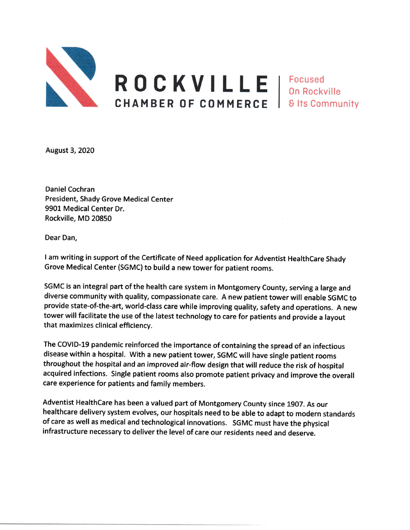

**S** Its Community

August 3,2020

Daniel Cochran President, Shady Grove Medical Center 9901 Medical Center Dr. Rockville, MD 20850

Dear Dan,

<sup>I</sup>am writing in support of the Certificate of Need application for Adventist HealthCare Shady Grove Medical Center (SGMC) to build a new tower for patient rooms.

SGMC is an integral part of the health care system in Montgomery County, serving a large and diverse community with quality, compassionate care. A new patient tower will enable SGMC to provide state-of-the-art, world-class care while improving quality, safety and operations. A new tower will facilitate the use of the latest technology to care for patients and provide a layout that maximizes clinical efficiency.

The COVID-19 pandemic reinforced the importance of containing the spread of an infectious disease within a hospital. With a new patient tower, SGMC will have single patient rooms throughout the hospital and an improved air-flow design that wilt reduce the risk of hospital acquired infections. Single patient rooms also promote patient privacy and improve the overall care experience for patients and family members.

Adventist HealthCare has been a valued part of Montgomery County since 1907. As our healthcare delivery system evolves, our hospitals need to be able to adapt to modern standards of care as well as medical and technological innovations. SGMC must have the physical infrastructure necessary to deliver the level of care our residents need and deserve.